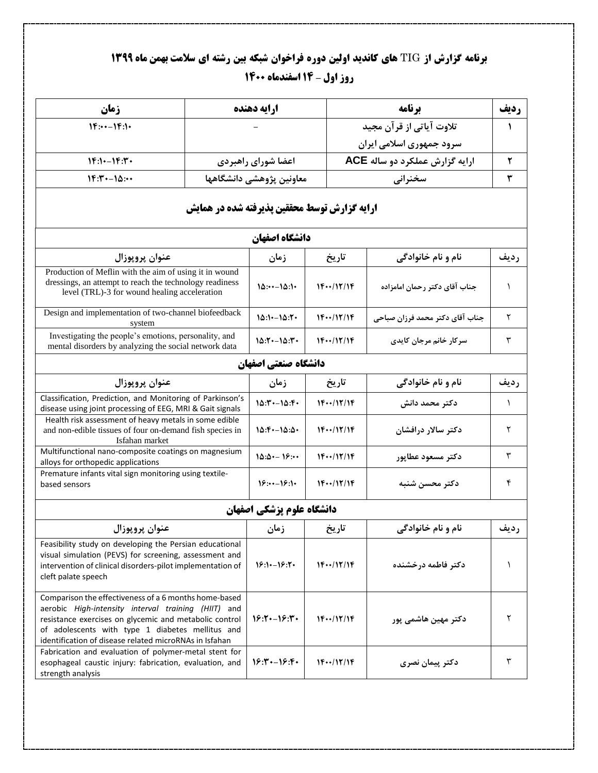## **برنامه گزارش از** TIG **های کاندید اولین دوره فراخوان شبکه بین رشته ای سالمت بهمن ماه 1399 روز اول – 14 اسفندماه 1400**

| زمان                                                                                                                                                                                                                                                                                 |                                                     | ارايه دهنده               |                    | برنامه                          |              |  |
|--------------------------------------------------------------------------------------------------------------------------------------------------------------------------------------------------------------------------------------------------------------------------------------|-----------------------------------------------------|---------------------------|--------------------|---------------------------------|--------------|--|
| $1F:--1F:1$                                                                                                                                                                                                                                                                          |                                                     |                           |                    | تلاوت آیاتی از قرآن مجید        | $\mathbf{A}$ |  |
|                                                                                                                                                                                                                                                                                      |                                                     |                           |                    | سرود جمهوری اسلامی ایران        |              |  |
| $1F:1 - 1F:1.$                                                                                                                                                                                                                                                                       |                                                     | اعضا شوراي راهبردي        |                    | ارایه گزارش عملکرد دو ساله ACE  |              |  |
| $1F:Y \rightarrow \Delta: Y$                                                                                                                                                                                                                                                         |                                                     | معاونين پژوهشي دانشگاهها  |                    | سخنرانى                         |              |  |
|                                                                                                                                                                                                                                                                                      | <b>ارایه گزارش توسط محققین پذیرفته شده در همایش</b> |                           |                    |                                 |              |  |
|                                                                                                                                                                                                                                                                                      |                                                     | دانشگاه اصفهان            |                    |                                 |              |  |
| عنوان پروپوزال                                                                                                                                                                                                                                                                       |                                                     |                           | تاريخ              | نام و نام خانوادگی              | رديف         |  |
| Production of Meflin with the aim of using it in wound<br>dressings, an attempt to reach the technology readiness<br>level (TRL)-3 for wound healing acceleration                                                                                                                    |                                                     | $10:--10:1$               | $1F\cdots/17/1F$   | جناب آقاي دكتر رحمان امامزاده   | $\lambda$    |  |
| Design and implementation of two-channel biofeedback<br>system                                                                                                                                                                                                                       |                                                     | $10:1:-10:7$              | $1F\cdots/17/1F$   | جناب آقاي دكتر محمد فرزان صباحي | ٢            |  |
| Investigating the people's emotions, personality, and<br>mental disorders by analyzing the social network data                                                                                                                                                                       |                                                     | $10:1 - 10:1.$            | $1F\cdots/17/1F$   | سرکار خانم مرجان کایدی          | ٣            |  |
|                                                                                                                                                                                                                                                                                      |                                                     | دانشگاه صنعتی اصفهان      |                    |                                 |              |  |
| عنوان پروپوزال                                                                                                                                                                                                                                                                       | زمان                                                | تاريخ                     | نام و نام خانوادگی | رديف                            |              |  |
| Classification, Prediction, and Monitoring of Parkinson's<br>disease using joint processing of EEG, MRI & Gait signals                                                                                                                                                               |                                                     | $10:1 - 10:1$             | $1F\cdots/17/1F$   | دكتر محمد دانش                  | $\lambda$    |  |
| Health risk assessment of heavy metals in some edible<br>and non-edible tissues of four on-demand fish species in<br>Isfahan market                                                                                                                                                  |                                                     | $10: 5 - 10: 0.$          | $1F\cdots/17/1F$   | دكتر سالار درافشان              | ٢            |  |
| Multifunctional nano-composite coatings on magnesium<br>alloys for orthopedic applications                                                                                                                                                                                           |                                                     | $10:0:-19:-$              | $1F\cdots/17/1F$   | دكتر مسعود عطايور               | ٣            |  |
| Premature infants vital sign monitoring using textile-<br>based sensors                                                                                                                                                                                                              | $18:--18:1$                                         | $1F\cdots/17/1F$          | دكتر محسن شنبه     | ۴                               |              |  |
|                                                                                                                                                                                                                                                                                      |                                                     | دانشگاه علوم پزشکی اصفهان |                    |                                 |              |  |
| عنوان پروپوزال                                                                                                                                                                                                                                                                       | زمان                                                | تاريخ                     | نام و نام خانوادگی | رديف                            |              |  |
| Feasibility study on developing the Persian educational<br>visual simulation (PEVS) for screening, assessment and<br>intervention of clinical disorders-pilot implementation of<br>cleft palate speech                                                                               | $18:1:-18:7*$                                       | $1F\cdots/17/1F$          | دكتر فاطمه درخشنده |                                 |              |  |
| Comparison the effectiveness of a 6 months home-based<br>aerobic High-intensity interval training (HIIT) and<br>resistance exercises on glycemic and metabolic control<br>of adolescents with type 1 diabetes mellitus and<br>identification of disease related microRNAs in Isfahan |                                                     | $18:14 - 18:17$           | $1F\cdots/17/1F$   | دکتر مهین هاشمی پور             | ٢            |  |
| Fabrication and evaluation of polymer-metal stent for<br>esophageal caustic injury: fabrication, evaluation, and<br>strength analysis                                                                                                                                                |                                                     | $18:1 - 18:1$             | $1F\cdots/17/1F$   | دكتر پيمان نصري                 | ٣            |  |